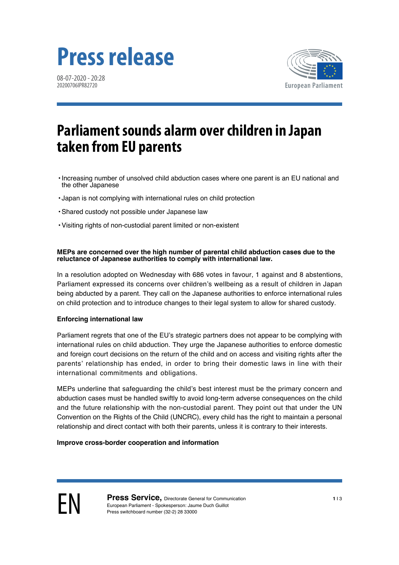# **Press release**

08-07-2020 - 20:28 20200706IPR82720



# **Parliament sounds alarm over children in Japan taken from EU parents**

- •Increasing number of unsolved child abduction cases where one parent is an EU national and the other Japanese
- Japan is not complying with international rules on child protection
- •Shared custody not possible under Japanese law
- •Visiting rights of non-custodial parent limited or non-existent

#### **MEPs are concerned over the high number of parental child abduction cases due to the reluctance of Japanese authorities to comply with international law.**

In a resolution adopted on Wednesday with 686 votes in favour, 1 against and 8 abstentions, Parliament expressed its concerns over children's wellbeing as a result of children in Japan being abducted by a parent. They call on the Japanese authorities to enforce international rules on child protection and to introduce changes to their legal system to allow for shared custody.

#### **Enforcing international law**

Parliament regrets that one of the EU's strategic partners does not appear to be complying with international rules on child abduction. They urge the Japanese authorities to enforce domestic and foreign court decisions on the return of the child and on access and visiting rights after the parents' relationship has ended, in order to bring their domestic laws in line with their international commitments and obligations.

MEPs underline that safeguarding the child's best interest must be the primary concern and abduction cases must be handled swiftly to avoid long-term adverse consequences on the child and the future relationship with the non-custodial parent. They point out that under the UN Convention on the Rights of the Child (UNCRC), every child has the right to maintain a personal relationship and direct contact with both their parents, unless it is contrary to their interests.

#### **Improve cross-border cooperation and information**

**EN Press Service,** Directorate General for Communication<br>European Parliament - Spokesperson: Jaume Duch Guillot European Parliament - Spokesperson: Jaume Duch Guillot Press switchboard number (32-2) 28 33000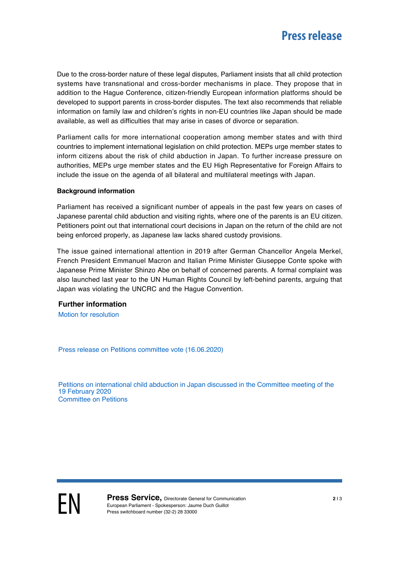Due to the cross-border nature of these legal disputes, Parliament insists that all child protection systems have transnational and cross-border mechanisms in place. They propose that in addition to the Hague Conference, citizen-friendly European information platforms should be developed to support parents in cross-border disputes. The text also recommends that reliable information on family law and children's rights in non-EU countries like Japan should be made available, as well as difficulties that may arise in cases of divorce or separation.

Parliament calls for more international cooperation among member states and with third countries to implement international legislation on child protection. MEPs urge member states to inform citizens about the risk of child abduction in Japan. To further increase pressure on authorities, MEPs urge member states and the EU High Representative for Foreign Affairs to include the issue on the agenda of all bilateral and multilateral meetings with Japan.

#### **Background information**

Parliament has received a significant number of appeals in the past few years on cases of Japanese parental child abduction and visiting rights, where one of the parents is an EU citizen. Petitioners point out that international court decisions in Japan on the return of the child are not being enforced properly, as Japanese law lacks shared custody provisions.

The issue gained international attention in 2019 after German Chancellor Angela Merkel, French President Emmanuel Macron and Italian Prime Minister Giuseppe Conte spoke with Japanese Prime Minister Shinzo Abe on behalf of concerned parents. A formal complaint was also launched last year to the UN Human Rights Council by left-behind parents, arguing that Japan was violating the UNCRC and the Hague Convention.

#### **Further information**

[Motion for resolution](http://www.europarl.europa.eu/doceo/document/B-9-2020-0205_EN.html)

[Press release on Petitions committee vote \(16.06.2020\)](http://www.europarl.europa.eu/news/en/press-room/20200615IPR81214/petitions-meps-sound-alarm-over-japanese-parental-child-abduction)

[Petitions on international child abduction in Japan discussed in the Committee meeting of the](https://emeeting.europarl.europa.eu/emeeting/committee/agenda/202002/PETI?meeting=PETI-2020-0219_1P&session=02-19-10-00&item=IPETI(2020)0219_1PEN-8&lang=EN) [19 February 2020](https://emeeting.europarl.europa.eu/emeeting/committee/agenda/202002/PETI?meeting=PETI-2020-0219_1P&session=02-19-10-00&item=IPETI(2020)0219_1PEN-8&lang=EN) [Committee on Petitions](http://www.europarl.europa.eu/committees/en/peti/home.html)

**EN Press Service,** Directorate General for Communication<br>European Parliament - Spokesperson: Jaume Duch Guillot European Parliament - Spokesperson: Jaume Duch Guillot Press switchboard number (32-2) 28 33000